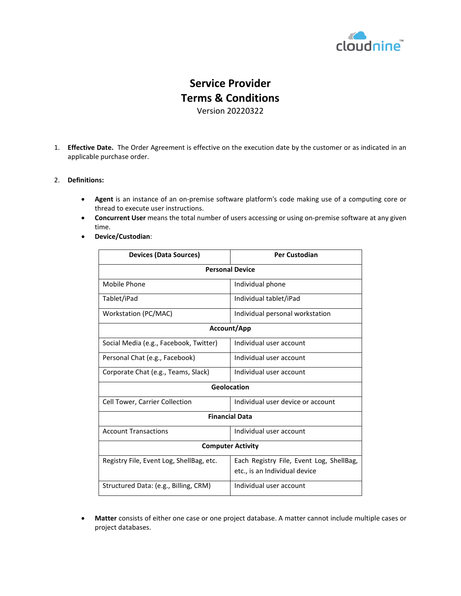

## **Service Provider Terms & Conditions**

Version 20220322

1. **Effective Date.** The Order Agreement is effective on the execution date by the customer or as indicated in an applicable purchase order.

## 2. **Definitions:**

- **Agent** is an instance of an on-premise software platform's code making use of a computing core or thread to execute user instructions.
- **Concurrent User** means the total [number](https://www.lawinsider.com/clause/number-of-users) of users [accessing](https://www.lawinsider.com/clause/accessing) or using [on-premise](https://www.lawinsider.com/clause/using-the-software) software at any given [time.](https://www.lawinsider.com/clause/time)
- **Device/Custodian**:

| <b>Devices (Data Sources)</b>            | <b>Per Custodian</b>                     |  |
|------------------------------------------|------------------------------------------|--|
| <b>Personal Device</b>                   |                                          |  |
| Mobile Phone                             | Individual phone                         |  |
| Tablet/iPad                              | Individual tablet/iPad                   |  |
| Workstation (PC/MAC)                     | Individual personal workstation          |  |
| <b>Account/App</b>                       |                                          |  |
| Social Media (e.g., Facebook, Twitter)   | Individual user account                  |  |
| Personal Chat (e.g., Facebook)           | Individual user account                  |  |
| Corporate Chat (e.g., Teams, Slack)      | Individual user account                  |  |
| Geolocation                              |                                          |  |
| Cell Tower, Carrier Collection           | Individual user device or account        |  |
| <b>Financial Data</b>                    |                                          |  |
| <b>Account Transactions</b>              | Individual user account                  |  |
| <b>Computer Activity</b>                 |                                          |  |
| Registry File, Event Log, ShellBag, etc. | Each Registry File, Event Log, ShellBag, |  |
|                                          | etc., is an Individual device            |  |
| Structured Data: (e.g., Billing, CRM)    | Individual user account                  |  |

• **Matter** consists of either one case or one project database. A matter cannot include multiple cases or project databases.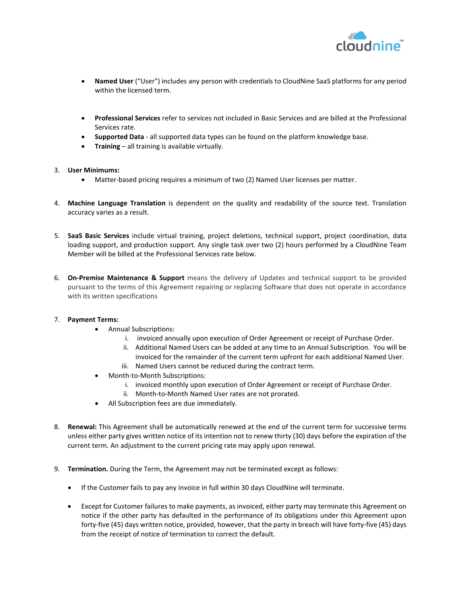

- **Named User** ("User") includes any person with credentials to CloudNine SaaS platforms for any period within the licensed term.
- **Professional Services** refer to services not included in Basic Services and are billed at the Professional Services rate.
- **Supported Data** all supported data types can be found on the platform knowledge base.
- **Training** all training is available virtually.
- 3. **User Minimums:**
	- Matter-based pricing requires a minimum of two (2) Named User licenses per matter.
- 4. **Machine Language Translation** is dependent on the quality and readability of the source text. Translation accuracy varies as a result.
- 5. **SaaS Basic Services** include virtual training, project deletions, technical support, project coordination, data loading support, and production support. Any single task over two (2) hours performed by a CloudNine Team Member will be billed at the Professional Services rate below.
- 6. **On-Premise Maintenance & Support** means the delivery of Updates and technical support to be provided pursuant to the terms of this Agreement repairing or replacing Software that does not operate in accordance with its written specifications

## 7. **Payment Terms:**

- Annual Subscriptions:
	- i. invoiced annually upon execution of Order Agreement or receipt of Purchase Order.
	- ii. Additional Named Users can be added at any time to an Annual Subscription. You will be invoiced for the remainder of the current term upfront for each additional Named User.
	- iii. Named Users cannot be reduced during the contract term.
- Month-to-Month Subscriptions:
	- i. invoiced monthly upon execution of Order Agreement or receipt of Purchase Order.
	- ii. Month-to-Month Named User rates are not prorated.
- All Subscription fees are due immediately.
- 8. **Renewal:** This Agreement shall be automatically renewed at the end of the current term for successive terms unless either party gives written notice of its intention not to renew thirty (30) days before the expiration of the current term. An adjustment to the current pricing rate may apply upon renewal.
- 9. **Termination.** During the Term, the Agreement may not be terminated except as follows:
	- If the Customer fails to pay any invoice in full within 30 days CloudNine will terminate.
	- Except for Customer failures to make payments, as invoiced, either party may terminate this Agreement on notice if the other party has defaulted in the performance of its obligations under this Agreement upon forty-five (45) days written notice, provided, however, that the party in breach will have forty-five (45) days from the receipt of notice of termination to correct the default.